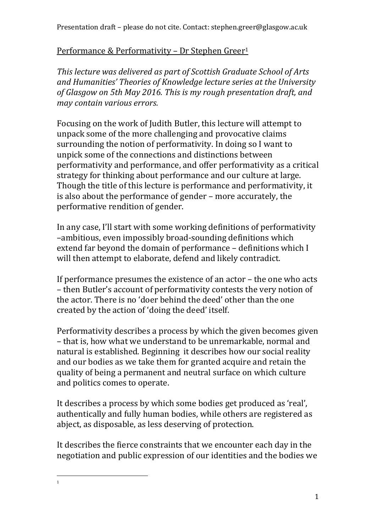#### Performance & Performativity - Dr Stephen Greer<sup>1</sup>

*This lecture was delivered as part of Scottish Graduate School of Arts and Humanities' Theories of Knowledge lecture series at the University of Glasgow on 5th May 2016. This is my rough presentation draft, and may contain various errors.*

Focusing on the work of Judith Butler, this lecture will attempt to unpack some of the more challenging and provocative claims surrounding the notion of performativity. In doing so I want to unpick some of the connections and distinctions between performativity and performance, and offer performativity as a critical strategy for thinking about performance and our culture at large. Though the title of this lecture is performance and performativity, it is also about the performance of gender – more accurately, the performative rendition of gender.

In any case, I'll start with some working definitions of performativity –ambitious, even impossibly broad-sounding definitions which extend far beyond the domain of performance – definitions which I will then attempt to elaborate, defend and likely contradict.

If performance presumes the existence of an actor – the one who acts – then Butler's account of performativity contests the very notion of the actor. There is no 'doer behind the deed' other than the one created by the action of 'doing the deed' itself.

Performativity describes a process by which the given becomes given – that is, how what we understand to be unremarkable, normal and natural is established. Beginning it describes how our social reality and our bodies as we take them for granted acquire and retain the quality of being a permanent and neutral surface on which culture and politics comes to operate.

It describes a process by which some bodies get produced as 'real', authentically and fully human bodies, while others are registered as abject, as disposable, as less deserving of protection.

It describes the fierce constraints that we encounter each day in the negotiation and public expression of our identities and the bodies we

 $\overline{\phantom{a}}$ 1

1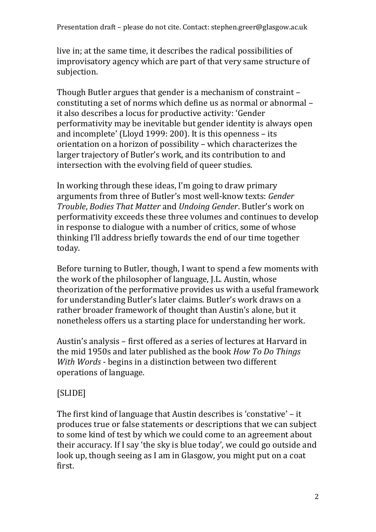live in; at the same time, it describes the radical possibilities of improvisatory agency which are part of that very same structure of subjection.

Though Butler argues that gender is a mechanism of constraint – constituting a set of norms which define us as normal or abnormal – it also describes a locus for productive activity: 'Gender performativity may be inevitable but gender identity is always open and incomplete' (Lloyd 1999: 200). It is this openness – its orientation on a horizon of possibility – which characterizes the larger trajectory of Butler's work, and its contribution to and intersection with the evolving field of queer studies.

In working through these ideas, I'm going to draw primary arguments from three of Butler's most well-know texts: *Gender Trouble*, *Bodies That Matter* and *Undoing Gender*. Butler's work on performativity exceeds these three volumes and continues to develop in response to dialogue with a number of critics, some of whose thinking I'll address briefly towards the end of our time together today.

Before turning to Butler, though, I want to spend a few moments with the work of the philosopher of language, J.L. Austin, whose theorization of the performative provides us with a useful framework for understanding Butler's later claims. Butler's work draws on a rather broader framework of thought than Austin's alone, but it nonetheless offers us a starting place for understanding her work.

Austin's analysis – first offered as a series of lectures at Harvard in the mid 1950s and later published as the book *How To Do Things With Words* - begins in a distinction between two different operations of language.

# [SLIDE]

The first kind of language that Austin describes is 'constative' – it produces true or false statements or descriptions that we can subject to some kind of test by which we could come to an agreement about their accuracy. If I say 'the sky is blue today', we could go outside and look up, though seeing as I am in Glasgow, you might put on a coat first.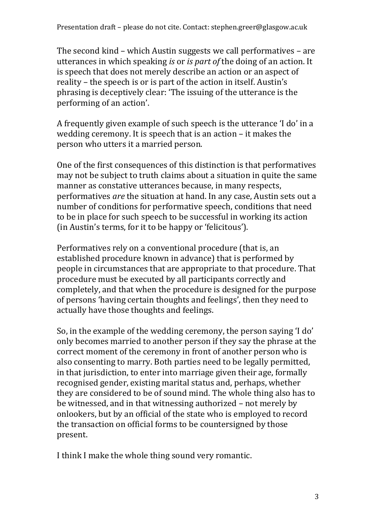The second kind – which Austin suggests we call performatives – are utterances in which speaking *is* or *is part of* the doing of an action. It is speech that does not merely describe an action or an aspect of reality – the speech is or is part of the action in itself. Austin's phrasing is deceptively clear: 'The issuing of the utterance is the performing of an action'.

A frequently given example of such speech is the utterance 'I do' in a wedding ceremony. It is speech that is an action – it makes the person who utters it a married person.

One of the first consequences of this distinction is that performatives may not be subject to truth claims about a situation in quite the same manner as constative utterances because, in many respects, performatives *are* the situation at hand. In any case, Austin sets out a number of conditions for performative speech, conditions that need to be in place for such speech to be successful in working its action (in Austin's terms, for it to be happy or 'felicitous').

Performatives rely on a conventional procedure (that is, an established procedure known in advance) that is performed by people in circumstances that are appropriate to that procedure. That procedure must be executed by all participants correctly and completely, and that when the procedure is designed for the purpose of persons 'having certain thoughts and feelings', then they need to actually have those thoughts and feelings.

So, in the example of the wedding ceremony, the person saying 'I do' only becomes married to another person if they say the phrase at the correct moment of the ceremony in front of another person who is also consenting to marry. Both parties need to be legally permitted, in that jurisdiction, to enter into marriage given their age, formally recognised gender, existing marital status and, perhaps, whether they are considered to be of sound mind. The whole thing also has to be witnessed, and in that witnessing authorized – not merely by onlookers, but by an official of the state who is employed to record the transaction on official forms to be countersigned by those present.

I think I make the whole thing sound very romantic.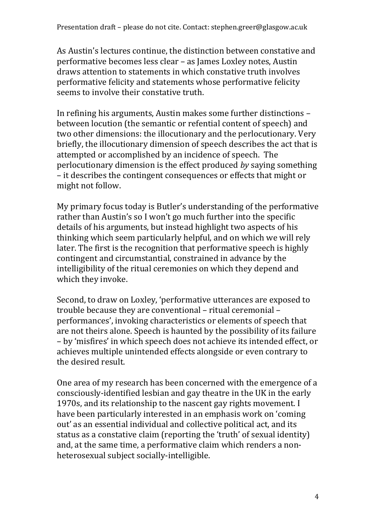As Austin's lectures continue, the distinction between constative and performative becomes less clear – as James Loxley notes, Austin draws attention to statements in which constative truth involves performative felicity and statements whose performative felicity seems to involve their constative truth.

In refining his arguments, Austin makes some further distinctions – between locution (the semantic or refential content of speech) and two other dimensions: the illocutionary and the perlocutionary. Very briefly, the illocutionary dimension of speech describes the act that is attempted or accomplished by an incidence of speech. The perlocutionary dimension is the effect produced *by* saying something – it describes the contingent consequences or effects that might or might not follow.

My primary focus today is Butler's understanding of the performative rather than Austin's so I won't go much further into the specific details of his arguments, but instead highlight two aspects of his thinking which seem particularly helpful, and on which we will rely later. The first is the recognition that performative speech is highly contingent and circumstantial, constrained in advance by the intelligibility of the ritual ceremonies on which they depend and which they invoke.

Second, to draw on Loxley, 'performative utterances are exposed to trouble because they are conventional – ritual ceremonial – performances', invoking characteristics or elements of speech that are not theirs alone. Speech is haunted by the possibility of its failure – by 'misfires' in which speech does not achieve its intended effect, or achieves multiple unintended effects alongside or even contrary to the desired result.

One area of my research has been concerned with the emergence of a consciously-identified lesbian and gay theatre in the UK in the early 1970s, and its relationship to the nascent gay rights movement. I have been particularly interested in an emphasis work on 'coming out' as an essential individual and collective political act, and its status as a constative claim (reporting the 'truth' of sexual identity) and, at the same time, a performative claim which renders a nonheterosexual subject socially-intelligible.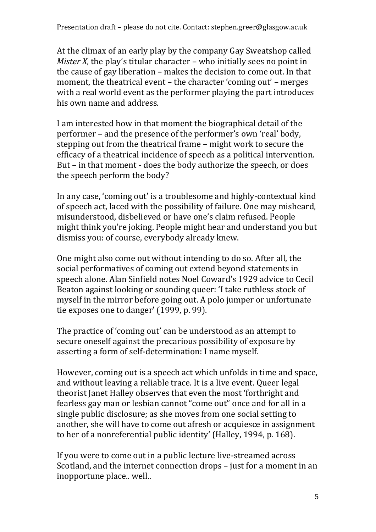At the climax of an early play by the company Gay Sweatshop called *Mister X*, the play's titular character – who initially sees no point in the cause of gay liberation – makes the decision to come out. In that moment, the theatrical event – the character 'coming out' – merges with a real world event as the performer playing the part introduces his own name and address.

I am interested how in that moment the biographical detail of the performer – and the presence of the performer's own 'real' body, stepping out from the theatrical frame – might work to secure the efficacy of a theatrical incidence of speech as a political intervention. But – in that moment - does the body authorize the speech, or does the speech perform the body?

In any case, 'coming out' is a troublesome and highly-contextual kind of speech act, laced with the possibility of failure. One may misheard, misunderstood, disbelieved or have one's claim refused. People might think you're joking. People might hear and understand you but dismiss you: of course, everybody already knew.

One might also come out without intending to do so. After all, the social performatives of coming out extend beyond statements in speech alone. Alan Sinfield notes Noel Coward's 1929 advice to Cecil Beaton against looking or sounding queer: 'I take ruthless stock of myself in the mirror before going out. A polo jumper or unfortunate tie exposes one to danger' (1999, p. 99).

The practice of 'coming out' can be understood as an attempt to secure oneself against the precarious possibility of exposure by asserting a form of self-determination: I name myself.

However, coming out is a speech act which unfolds in time and space, and without leaving a reliable trace. It is a live event. Queer legal theorist Janet Halley observes that even the most 'forthright and fearless gay man or lesbian cannot "come out" once and for all in a single public disclosure; as she moves from one social setting to another, she will have to come out afresh or acquiesce in assignment to her of a nonreferential public identity' (Halley, 1994, p. 168).

If you were to come out in a public lecture live-streamed across Scotland, and the internet connection drops – just for a moment in an inopportune place.. well..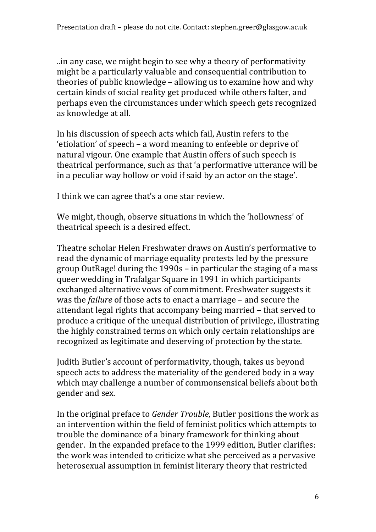..in any case, we might begin to see why a theory of performativity might be a particularly valuable and consequential contribution to theories of public knowledge – allowing us to examine how and why certain kinds of social reality get produced while others falter, and perhaps even the circumstances under which speech gets recognized as knowledge at all.

In his discussion of speech acts which fail, Austin refers to the 'etiolation' of speech – a word meaning to enfeeble or deprive of natural vigour. One example that Austin offers of such speech is theatrical performance, such as that 'a performative utterance will be in a peculiar way hollow or void if said by an actor on the stage'.

I think we can agree that's a one star review.

We might, though, observe situations in which the 'hollowness' of theatrical speech is a desired effect.

Theatre scholar Helen Freshwater draws on Austin's performative to read the dynamic of marriage equality protests led by the pressure group OutRage! during the 1990s – in particular the staging of a mass queer wedding in Trafalgar Square in 1991 in which participants exchanged alternative vows of commitment. Freshwater suggests it was the *failure* of those acts to enact a marriage – and secure the attendant legal rights that accompany being married – that served to produce a critique of the unequal distribution of privilege, illustrating the highly constrained terms on which only certain relationships are recognized as legitimate and deserving of protection by the state.

Judith Butler's account of performativity, though, takes us beyond speech acts to address the materiality of the gendered body in a way which may challenge a number of commonsensical beliefs about both gender and sex.

In the original preface to *Gender Trouble*, Butler positions the work as an intervention within the field of feminist politics which attempts to trouble the dominance of a binary framework for thinking about gender. In the expanded preface to the 1999 edition, Butler clarifies: the work was intended to criticize what she perceived as a pervasive heterosexual assumption in feminist literary theory that restricted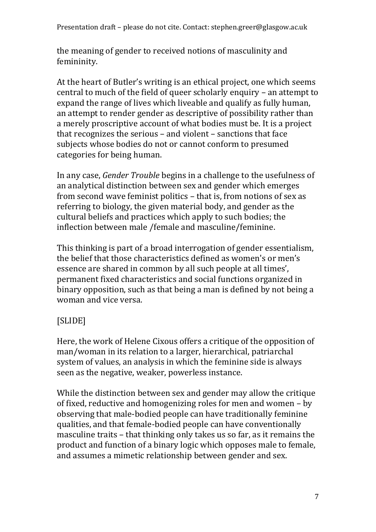Presentation draft – please do not cite. Contact: stephen.greer@glasgow.ac.uk

the meaning of gender to received notions of masculinity and femininity.

At the heart of Butler's writing is an ethical project, one which seems central to much of the field of queer scholarly enquiry – an attempt to expand the range of lives which liveable and qualify as fully human, an attempt to render gender as descriptive of possibility rather than a merely proscriptive account of what bodies must be. It is a project that recognizes the serious – and violent – sanctions that face subjects whose bodies do not or cannot conform to presumed categories for being human.

In any case, *Gender Trouble* begins in a challenge to the usefulness of an analytical distinction between sex and gender which emerges from second wave feminist politics – that is, from notions of sex as referring to biology, the given material body, and gender as the cultural beliefs and practices which apply to such bodies; the inflection between male /female and masculine/feminine.

This thinking is part of a broad interrogation of gender essentialism, the belief that those characteristics defined as women's or men's essence are shared in common by all such people at all times', permanent fixed characteristics and social functions organized in binary opposition, such as that being a man is defined by not being a woman and vice versa.

### [SLIDE]

Here, the work of Helene Cixous offers a critique of the opposition of man/woman in its relation to a larger, hierarchical, patriarchal system of values, an analysis in which the feminine side is always seen as the negative, weaker, powerless instance.

While the distinction between sex and gender may allow the critique of fixed, reductive and homogenizing roles for men and women – by observing that male-bodied people can have traditionally feminine qualities, and that female-bodied people can have conventionally masculine traits – that thinking only takes us so far, as it remains the product and function of a binary logic which opposes male to female, and assumes a mimetic relationship between gender and sex.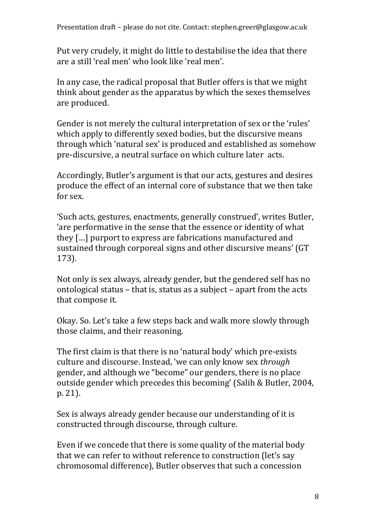Put very crudely, it might do little to destabilise the idea that there are a still 'real men' who look like 'real men'.

In any case, the radical proposal that Butler offers is that we might think about gender as the apparatus by which the sexes themselves are produced.

Gender is not merely the cultural interpretation of sex or the 'rules' which apply to differently sexed bodies, but the discursive means through which 'natural sex' is produced and established as somehow pre-discursive, a neutral surface on which culture later acts.

Accordingly, Butler's argument is that our acts, gestures and desires produce the effect of an internal core of substance that we then take for sex.

'Such acts, gestures, enactments, generally construed', writes Butler, 'are performative in the sense that the essence or identity of what they […] purport to express are fabrications manufactured and sustained through corporeal signs and other discursive means' (GT 173).

Not only is sex always, already gender, but the gendered self has no ontological status – that is, status as a subject – apart from the acts that compose it.

Okay. So. Let's take a few steps back and walk more slowly through those claims, and their reasoning.

The first claim is that there is no 'natural body' which pre-exists culture and discourse. Instead, 'we can only know sex *through* gender, and although we "become" our genders, there is no place outside gender which precedes this becoming' (Salih & Butler, 2004, p. 21).

Sex is always already gender because our understanding of it is constructed through discourse, through culture.

Even if we concede that there is some quality of the material body that we can refer to without reference to construction (let's say chromosomal difference), Butler observes that such a concession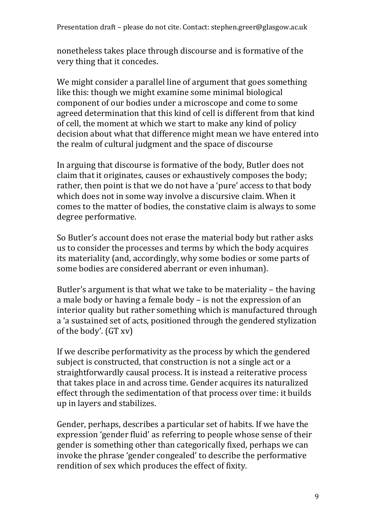nonetheless takes place through discourse and is formative of the very thing that it concedes.

We might consider a parallel line of argument that goes something like this: though we might examine some minimal biological component of our bodies under a microscope and come to some agreed determination that this kind of cell is different from that kind of cell, the moment at which we start to make any kind of policy decision about what that difference might mean we have entered into the realm of cultural judgment and the space of discourse

In arguing that discourse is formative of the body, Butler does not claim that it originates, causes or exhaustively composes the body; rather, then point is that we do not have a 'pure' access to that body which does not in some way involve a discursive claim. When it comes to the matter of bodies, the constative claim is always to some degree performative.

So Butler's account does not erase the material body but rather asks us to consider the processes and terms by which the body acquires its materiality (and, accordingly, why some bodies or some parts of some bodies are considered aberrant or even inhuman).

Butler's argument is that what we take to be materiality – the having a male body or having a female body – is not the expression of an interior quality but rather something which is manufactured through a 'a sustained set of acts, positioned through the gendered stylization of the body'. (GT xv)

If we describe performativity as the process by which the gendered subject is constructed, that construction is not a single act or a straightforwardly causal process. It is instead a reiterative process that takes place in and across time. Gender acquires its naturalized effect through the sedimentation of that process over time: it builds up in layers and stabilizes.

Gender, perhaps, describes a particular set of habits. If we have the expression 'gender fluid' as referring to people whose sense of their gender is something other than categorically fixed, perhaps we can invoke the phrase 'gender congealed' to describe the performative rendition of sex which produces the effect of fixity.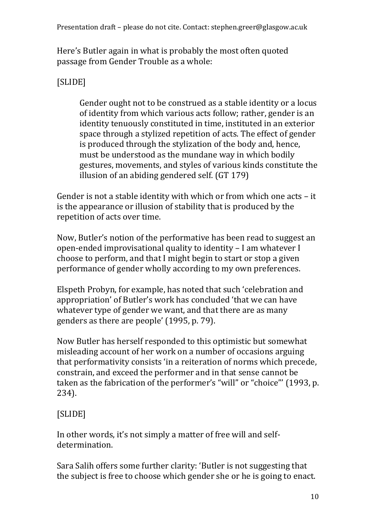Here's Butler again in what is probably the most often quoted passage from Gender Trouble as a whole:

# [SLIDE]

Gender ought not to be construed as a stable identity or a locus of identity from which various acts follow; rather, gender is an identity tenuously constituted in time, instituted in an exterior space through a stylized repetition of acts. The effect of gender is produced through the stylization of the body and, hence, must be understood as the mundane way in which bodily gestures, movements, and styles of various kinds constitute the illusion of an abiding gendered self. (GT 179)

Gender is not a stable identity with which or from which one acts – it is the appearance or illusion of stability that is produced by the repetition of acts over time.

Now, Butler's notion of the performative has been read to suggest an open-ended improvisational quality to identity – I am whatever I choose to perform, and that I might begin to start or stop a given performance of gender wholly according to my own preferences.

Elspeth Probyn, for example, has noted that such 'celebration and appropriation' of Butler's work has concluded 'that we can have whatever type of gender we want, and that there are as many genders as there are people' (1995, p. 79).

Now Butler has herself responded to this optimistic but somewhat misleading account of her work on a number of occasions arguing that performativity consists 'in a reiteration of norms which precede, constrain, and exceed the performer and in that sense cannot be taken as the fabrication of the performer's "will" or "choice"' (1993, p. 234).

### [SLIDE]

In other words, it's not simply a matter of free will and selfdetermination.

Sara Salih offers some further clarity: 'Butler is not suggesting that the subject is free to choose which gender she or he is going to enact.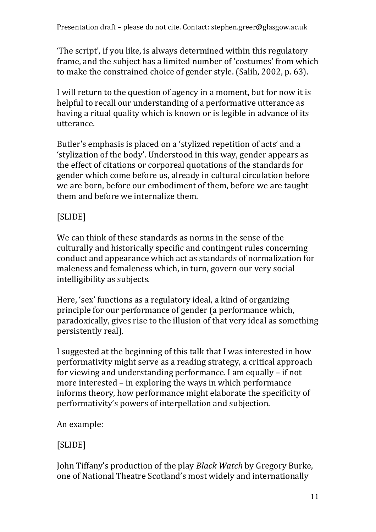'The script', if you like, is always determined within this regulatory frame, and the subject has a limited number of 'costumes' from which to make the constrained choice of gender style. (Salih, 2002, p. 63).

I will return to the question of agency in a moment, but for now it is helpful to recall our understanding of a performative utterance as having a ritual quality which is known or is legible in advance of its utterance.

Butler's emphasis is placed on a 'stylized repetition of acts' and a 'stylization of the body'. Understood in this way, gender appears as the effect of citations or corporeal quotations of the standards for gender which come before us, already in cultural circulation before we are born, before our embodiment of them, before we are taught them and before we internalize them.

# [SLIDE]

We can think of these standards as norms in the sense of the culturally and historically specific and contingent rules concerning conduct and appearance which act as standards of normalization for maleness and femaleness which, in turn, govern our very social intelligibility as subjects.

Here, 'sex' functions as a regulatory ideal, a kind of organizing principle for our performance of gender (a performance which, paradoxically, gives rise to the illusion of that very ideal as something persistently real).

I suggested at the beginning of this talk that I was interested in how performativity might serve as a reading strategy, a critical approach for viewing and understanding performance. I am equally – if not more interested – in exploring the ways in which performance informs theory, how performance might elaborate the specificity of performativity's powers of interpellation and subjection.

An example:

# [SLIDE]

John Tiffany's production of the play *Black Watch* by Gregory Burke, one of National Theatre Scotland's most widely and internationally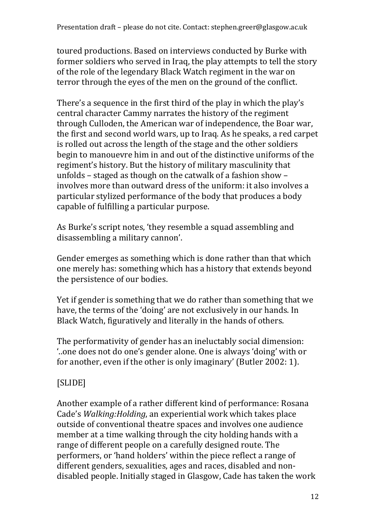toured productions. Based on interviews conducted by Burke with former soldiers who served in Iraq, the play attempts to tell the story of the role of the legendary Black Watch regiment in the war on terror through the eyes of the men on the ground of the conflict.

There's a sequence in the first third of the play in which the play's central character Cammy narrates the history of the regiment through Culloden, the American war of independence, the Boar war, the first and second world wars, up to Iraq. As he speaks, a red carpet is rolled out across the length of the stage and the other soldiers begin to manouevre him in and out of the distinctive uniforms of the regiment's history. But the history of military masculinity that unfolds – staged as though on the catwalk of a fashion show – involves more than outward dress of the uniform: it also involves a particular stylized performance of the body that produces a body capable of fulfilling a particular purpose.

As Burke's script notes, 'they resemble a squad assembling and disassembling a military cannon'.

Gender emerges as something which is done rather than that which one merely has: something which has a history that extends beyond the persistence of our bodies.

Yet if gender is something that we do rather than something that we have, the terms of the 'doing' are not exclusively in our hands. In Black Watch, figuratively and literally in the hands of others.

The performativity of gender has an ineluctably social dimension: '..one does not do one's gender alone. One is always 'doing' with or for another, even if the other is only imaginary' (Butler 2002: 1).

# [SLIDE]

Another example of a rather different kind of performance: Rosana Cade's *Walking:Holding*, an experiential work which takes place outside of conventional theatre spaces and involves one audience member at a time walking through the city holding hands with a range of different people on a carefully designed route. The performers, or 'hand holders' within the piece reflect a range of different genders, sexualities, ages and races, disabled and nondisabled people. Initially staged in Glasgow, Cade has taken the work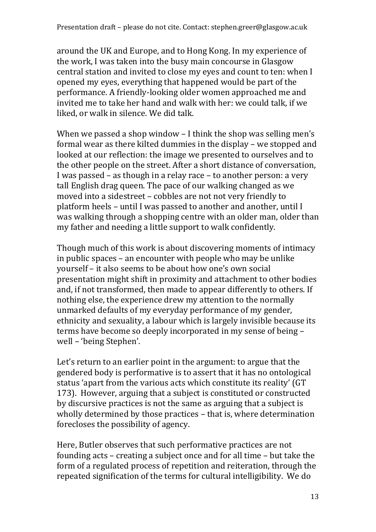around the UK and Europe, and to Hong Kong. In my experience of the work, I was taken into the busy main concourse in Glasgow central station and invited to close my eyes and count to ten: when I opened my eyes, everything that happened would be part of the performance. A friendly-looking older women approached me and invited me to take her hand and walk with her: we could talk, if we liked, or walk in silence. We did talk.

When we passed a shop window – I think the shop was selling men's formal wear as there kilted dummies in the display – we stopped and looked at our reflection: the image we presented to ourselves and to the other people on the street. After a short distance of conversation, I was passed – as though in a relay race – to another person: a very tall English drag queen. The pace of our walking changed as we moved into a sidestreet – cobbles are not not very friendly to platform heels – until I was passed to another and another, until I was walking through a shopping centre with an older man, older than my father and needing a little support to walk confidently.

Though much of this work is about discovering moments of intimacy in public spaces – an encounter with people who may be unlike yourself – it also seems to be about how one's own social presentation might shift in proximity and attachment to other bodies and, if not transformed, then made to appear differently to others. If nothing else, the experience drew my attention to the normally unmarked defaults of my everyday performance of my gender, ethnicity and sexuality, a labour which is largely invisible because its terms have become so deeply incorporated in my sense of being – well – 'being Stephen'.

Let's return to an earlier point in the argument: to argue that the gendered body is performative is to assert that it has no ontological status 'apart from the various acts which constitute its reality' (GT 173). However, arguing that a subject is constituted or constructed by discursive practices is not the same as arguing that a subject is wholly determined by those practices – that is, where determination forecloses the possibility of agency.

Here, Butler observes that such performative practices are not founding acts – creating a subject once and for all time – but take the form of a regulated process of repetition and reiteration, through the repeated signification of the terms for cultural intelligibility. We do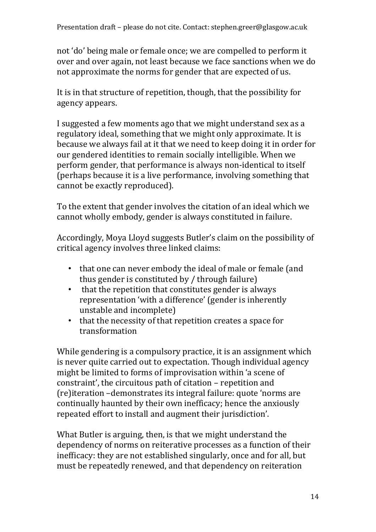not 'do' being male or female once; we are compelled to perform it over and over again, not least because we face sanctions when we do not approximate the norms for gender that are expected of us.

It is in that structure of repetition, though, that the possibility for agency appears.

I suggested a few moments ago that we might understand sex as a regulatory ideal, something that we might only approximate. It is because we always fail at it that we need to keep doing it in order for our gendered identities to remain socially intelligible. When we perform gender, that performance is always non-identical to itself (perhaps because it is a live performance, involving something that cannot be exactly reproduced).

To the extent that gender involves the citation of an ideal which we cannot wholly embody, gender is always constituted in failure.

Accordingly, Moya Lloyd suggests Butler's claim on the possibility of critical agency involves three linked claims:

- that one can never embody the ideal of male or female (and thus gender is constituted by / through failure)
- that the repetition that constitutes gender is always representation 'with a difference' (gender is inherently unstable and incomplete)
- that the necessity of that repetition creates a space for transformation

While gendering is a compulsory practice, it is an assignment which is never quite carried out to expectation. Though individual agency might be limited to forms of improvisation within 'a scene of constraint', the circuitous path of citation – repetition and (re)iteration –demonstrates its integral failure: quote 'norms are continually haunted by their own inefficacy; hence the anxiously repeated effort to install and augment their jurisdiction'.

What Butler is arguing, then, is that we might understand the dependency of norms on reiterative processes as a function of their inefficacy: they are not established singularly, once and for all, but must be repeatedly renewed, and that dependency on reiteration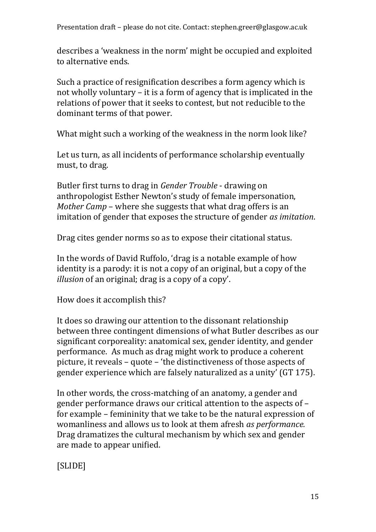Presentation draft – please do not cite. Contact: stephen.greer@glasgow.ac.uk

describes a 'weakness in the norm' might be occupied and exploited to alternative ends.

Such a practice of resignification describes a form agency which is not wholly voluntary – it is a form of agency that is implicated in the relations of power that it seeks to contest, but not reducible to the dominant terms of that power.

What might such a working of the weakness in the norm look like?

Let us turn, as all incidents of performance scholarship eventually must, to drag.

Butler first turns to drag in *Gender Trouble* - drawing on anthropologist Esther Newton's study of female impersonation, *Mother Camp* – where she suggests that what drag offers is an imitation of gender that exposes the structure of gender *as imitation*.

Drag cites gender norms so as to expose their citational status.

In the words of David Ruffolo, 'drag is a notable example of how identity is a parody: it is not a copy of an original, but a copy of the *illusion* of an original; drag is a copy of a copy'.

How does it accomplish this?

It does so drawing our attention to the dissonant relationship between three contingent dimensions of what Butler describes as our significant corporeality: anatomical sex, gender identity, and gender performance. As much as drag might work to produce a coherent picture, it reveals – quote – 'the distinctiveness of those aspects of gender experience which are falsely naturalized as a unity' (GT 175).

In other words, the cross-matching of an anatomy, a gender and gender performance draws our critical attention to the aspects of – for example – femininity that we take to be the natural expression of womanliness and allows us to look at them afresh *as performance.*  Drag dramatizes the cultural mechanism by which sex and gender are made to appear unified.

[SLIDE]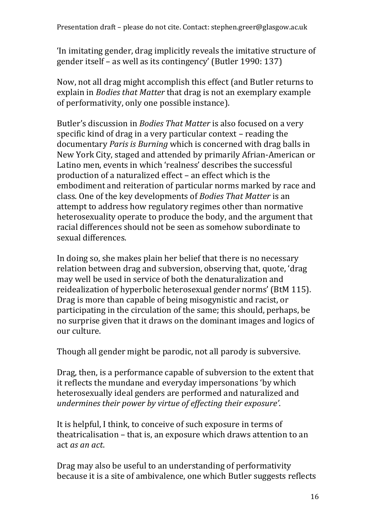'In imitating gender, drag implicitly reveals the imitative structure of gender itself – as well as its contingency' (Butler 1990: 137)

Now, not all drag might accomplish this effect (and Butler returns to explain in *Bodies that Matter* that drag is not an exemplary example of performativity, only one possible instance).

Butler's discussion in *Bodies That Matter* is also focused on a very specific kind of drag in a very particular context – reading the documentary *Paris is Burning* which is concerned with drag balls in New York City, staged and attended by primarily Afrian-American or Latino men, events in which 'realness' describes the successful production of a naturalized effect – an effect which is the embodiment and reiteration of particular norms marked by race and class. One of the key developments of *Bodies That Matter* is an attempt to address how regulatory regimes other than normative heterosexuality operate to produce the body, and the argument that racial differences should not be seen as somehow subordinate to sexual differences.

In doing so, she makes plain her belief that there is no necessary relation between drag and subversion, observing that, quote, 'drag may well be used in service of both the denaturalization and reidealization of hyperbolic heterosexual gender norms' (BtM 115). Drag is more than capable of being misogynistic and racist, or participating in the circulation of the same; this should, perhaps, be no surprise given that it draws on the dominant images and logics of our culture.

Though all gender might be parodic, not all parody is subversive.

Drag, then, is a performance capable of subversion to the extent that it reflects the mundane and everyday impersonations 'by which heterosexually ideal genders are performed and naturalized and *undermines their power by virtue of effecting their exposure'*.

It is helpful, I think, to conceive of such exposure in terms of theatricalisation – that is, an exposure which draws attention to an act *as an act*.

Drag may also be useful to an understanding of performativity because it is a site of ambivalence, one which Butler suggests reflects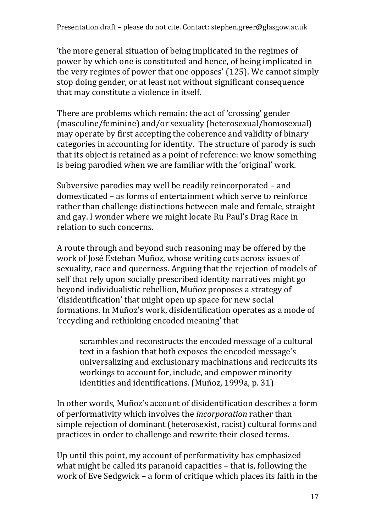'the more general situation of being implicated in the regimes of power by which one is constituted and hence, of being implicated in the very regimes of power that one opposes' (125). We cannot simply stop doing gender, or at least not without significant consequence that may constitute a violence in itself.

There are problems which remain: the act of 'crossing' gender (masculine/feminine) and/or sexuality (heterosexual/homosexual) may operate by first accepting the coherence and validity of binary categories in accounting for identity. The structure of parody is such that its object is retained as a point of reference: we know something is being parodied when we are familiar with the 'original' work.

Subversive parodies may well be readily reincorporated – and domesticated – as forms of entertainment which serve to reinforce rather than challenge distinctions between male and female, straight and gay. I wonder where we might locate Ru Paul's Drag Race in relation to such concerns.

A route through and beyond such reasoning may be offered by the work of José Esteban Muñoz, whose writing cuts across issues of sexuality, race and queerness. Arguing that the rejection of models of self that rely upon socially prescribed identity narratives might go beyond individualistic rebellion, Muñoz proposes a strategy of 'disidentification' that might open up space for new social formations. In Muñoz's work, disidentification operates as a mode of 'recycling and rethinking encoded meaning' that

scrambles and reconstructs the encoded message of a cultural text in a fashion that both exposes the encoded message's universalizing and exclusionary machinations and recircuits its workings to account for, include, and empower minority identities and identifications. (Muñoz, 1999a, p. 31)

In other words, Muñoz's account of disidentification describes a form of performativity which involves the *incorporation* rather than simple rejection of dominant (heterosexist, racist) cultural forms and practices in order to challenge and rewrite their closed terms.

Up until this point, my account of performativity has emphasized what might be called its paranoid capacities – that is, following the work of Eve Sedgwick – a form of critique which places its faith in the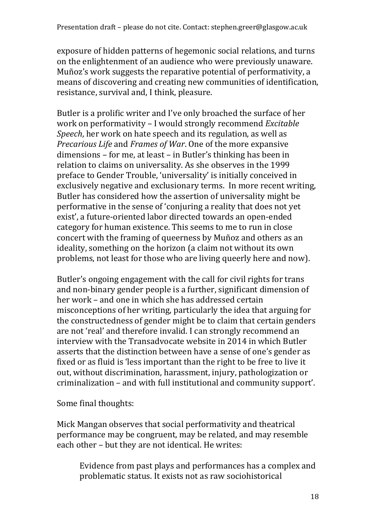exposure of hidden patterns of hegemonic social relations, and turns on the enlightenment of an audience who were previously unaware. Muñoz's work suggests the reparative potential of performativity, a means of discovering and creating new communities of identification, resistance, survival and, I think, pleasure.

Butler is a prolific writer and I've only broached the surface of her work on performativity – I would strongly recommend *Excitable Speech*, her work on hate speech and its regulation, as well as *Precarious Life* and *Frames of War*. One of the more expansive dimensions – for me, at least – in Butler's thinking has been in relation to claims on universality. As she observes in the 1999 preface to Gender Trouble, 'universality' is initially conceived in exclusively negative and exclusionary terms. In more recent writing, Butler has considered how the assertion of universality might be performative in the sense of 'conjuring a reality that does not yet exist', a future-oriented labor directed towards an open-ended category for human existence. This seems to me to run in close concert with the framing of queerness by Muñoz and others as an ideality, something on the horizon (a claim not without its own problems, not least for those who are living queerly here and now).

Butler's ongoing engagement with the call for civil rights for trans and non-binary gender people is a further, significant dimension of her work – and one in which she has addressed certain misconceptions of her writing, particularly the idea that arguing for the constructedness of gender might be to claim that certain genders are not 'real' and therefore invalid. I can strongly recommend an interview with the Transadvocate website in 2014 in which Butler asserts that the distinction between have a sense of one's gender as fixed or as fluid is 'less important than the right to be free to live it out, without discrimination, harassment, injury, pathologization or criminalization – and with full institutional and community support'.

Some final thoughts:

Mick Mangan observes that social performativity and theatrical performance may be congruent, may be related, and may resemble each other – but they are not identical. He writes:

Evidence from past plays and performances has a complex and problematic status. It exists not as raw sociohistorical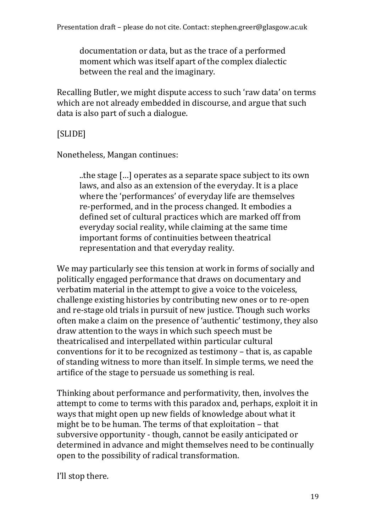documentation or data, but as the trace of a performed moment which was itself apart of the complex dialectic between the real and the imaginary.

Recalling Butler, we might dispute access to such 'raw data' on terms which are not already embedded in discourse, and argue that such data is also part of such a dialogue.

### [SLIDE]

Nonetheless, Mangan continues:

..the stage […] operates as a separate space subject to its own laws, and also as an extension of the everyday. It is a place where the 'performances' of everyday life are themselves re‐performed, and in the process changed. It embodies a defined set of cultural practices which are marked off from everyday social reality, while claiming at the same time important forms of continuities between theatrical representation and that everyday reality.

We may particularly see this tension at work in forms of socially and politically engaged performance that draws on documentary and verbatim material in the attempt to give a voice to the voiceless, challenge existing histories by contributing new ones or to re-open and re-stage old trials in pursuit of new justice. Though such works often make a claim on the presence of 'authentic' testimony, they also draw attention to the ways in which such speech must be theatricalised and interpellated within particular cultural conventions for it to be recognized as testimony – that is, as capable of standing witness to more than itself. In simple terms, we need the artifice of the stage to persuade us something is real.

Thinking about performance and performativity, then, involves the attempt to come to terms with this paradox and, perhaps, exploit it in ways that might open up new fields of knowledge about what it might be to be human. The terms of that exploitation – that subversive opportunity - though, cannot be easily anticipated or determined in advance and might themselves need to be continually open to the possibility of radical transformation.

I'll stop there.